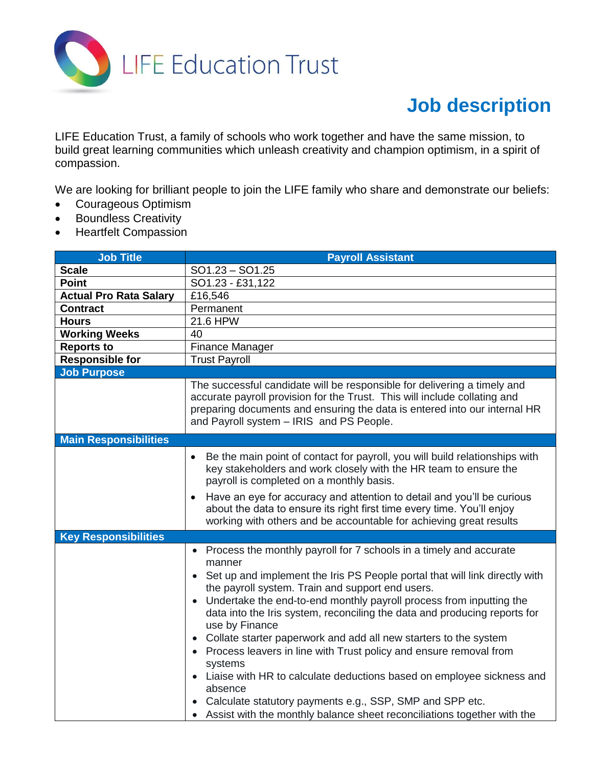

## **Job description**

LIFE Education Trust, a family of schools who work together and have the same mission, to build great learning communities which unleash creativity and champion optimism, in a spirit of compassion.

We are looking for brilliant people to join the LIFE family who share and demonstrate our beliefs:

- Courageous Optimism
- Boundless Creativity
- Heartfelt Compassion

| <b>Job Title</b>              | <b>Payroll Assistant</b>                                                                                                                                                                                                                                                                                                                                                                                                                                                                                                                                                                                                                                                                                                                                                         |  |  |  |  |
|-------------------------------|----------------------------------------------------------------------------------------------------------------------------------------------------------------------------------------------------------------------------------------------------------------------------------------------------------------------------------------------------------------------------------------------------------------------------------------------------------------------------------------------------------------------------------------------------------------------------------------------------------------------------------------------------------------------------------------------------------------------------------------------------------------------------------|--|--|--|--|
| <b>Scale</b>                  | $SO1.23 - SO1.25$                                                                                                                                                                                                                                                                                                                                                                                                                                                                                                                                                                                                                                                                                                                                                                |  |  |  |  |
| <b>Point</b>                  | SO1.23 - £31,122                                                                                                                                                                                                                                                                                                                                                                                                                                                                                                                                                                                                                                                                                                                                                                 |  |  |  |  |
| <b>Actual Pro Rata Salary</b> | £16,546                                                                                                                                                                                                                                                                                                                                                                                                                                                                                                                                                                                                                                                                                                                                                                          |  |  |  |  |
| <b>Contract</b>               | Permanent                                                                                                                                                                                                                                                                                                                                                                                                                                                                                                                                                                                                                                                                                                                                                                        |  |  |  |  |
| <b>Hours</b>                  | 21.6 HPW                                                                                                                                                                                                                                                                                                                                                                                                                                                                                                                                                                                                                                                                                                                                                                         |  |  |  |  |
| <b>Working Weeks</b>          | 40                                                                                                                                                                                                                                                                                                                                                                                                                                                                                                                                                                                                                                                                                                                                                                               |  |  |  |  |
| <b>Reports to</b>             | Finance Manager                                                                                                                                                                                                                                                                                                                                                                                                                                                                                                                                                                                                                                                                                                                                                                  |  |  |  |  |
| Responsible for               | <b>Trust Payroll</b>                                                                                                                                                                                                                                                                                                                                                                                                                                                                                                                                                                                                                                                                                                                                                             |  |  |  |  |
| <b>Job Purpose</b>            |                                                                                                                                                                                                                                                                                                                                                                                                                                                                                                                                                                                                                                                                                                                                                                                  |  |  |  |  |
|                               | The successful candidate will be responsible for delivering a timely and<br>accurate payroll provision for the Trust. This will include collating and<br>preparing documents and ensuring the data is entered into our internal HR<br>and Payroll system - IRIS and PS People.                                                                                                                                                                                                                                                                                                                                                                                                                                                                                                   |  |  |  |  |
| <b>Main Responsibilities</b>  |                                                                                                                                                                                                                                                                                                                                                                                                                                                                                                                                                                                                                                                                                                                                                                                  |  |  |  |  |
|                               | Be the main point of contact for payroll, you will build relationships with<br>$\bullet$<br>key stakeholders and work closely with the HR team to ensure the<br>payroll is completed on a monthly basis.<br>Have an eye for accuracy and attention to detail and you'll be curious<br>$\bullet$<br>about the data to ensure its right first time every time. You'll enjoy<br>working with others and be accountable for achieving great results                                                                                                                                                                                                                                                                                                                                  |  |  |  |  |
| <b>Key Responsibilities</b>   |                                                                                                                                                                                                                                                                                                                                                                                                                                                                                                                                                                                                                                                                                                                                                                                  |  |  |  |  |
|                               | • Process the monthly payroll for 7 schools in a timely and accurate<br>manner<br>• Set up and implement the Iris PS People portal that will link directly with<br>the payroll system. Train and support end users.<br>Undertake the end-to-end monthly payroll process from inputting the<br>data into the Iris system, reconciling the data and producing reports for<br>use by Finance<br>• Collate starter paperwork and add all new starters to the system<br>• Process leavers in line with Trust policy and ensure removal from<br>systems<br>Liaise with HR to calculate deductions based on employee sickness and<br>absence<br>• Calculate statutory payments e.g., SSP, SMP and SPP etc.<br>• Assist with the monthly balance sheet reconciliations together with the |  |  |  |  |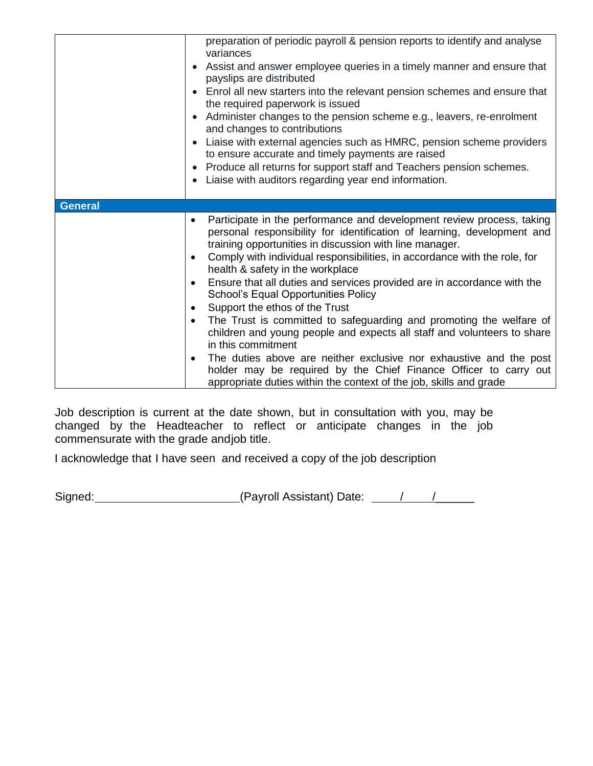|                | preparation of periodic payroll & pension reports to identify and analyse<br>variances<br>Assist and answer employee queries in a timely manner and ensure that<br>payslips are distributed<br>• Enrol all new starters into the relevant pension schemes and ensure that<br>the required paperwork is issued<br>• Administer changes to the pension scheme e.g., leavers, re-enrolment<br>and changes to contributions<br>Liaise with external agencies such as HMRC, pension scheme providers<br>to ensure accurate and timely payments are raised<br>• Produce all returns for support staff and Teachers pension schemes.<br>Liaise with auditors regarding year end information.<br>$\bullet$                                                                                                                                                                                                                                                    |
|----------------|-------------------------------------------------------------------------------------------------------------------------------------------------------------------------------------------------------------------------------------------------------------------------------------------------------------------------------------------------------------------------------------------------------------------------------------------------------------------------------------------------------------------------------------------------------------------------------------------------------------------------------------------------------------------------------------------------------------------------------------------------------------------------------------------------------------------------------------------------------------------------------------------------------------------------------------------------------|
| <b>General</b> |                                                                                                                                                                                                                                                                                                                                                                                                                                                                                                                                                                                                                                                                                                                                                                                                                                                                                                                                                       |
|                | Participate in the performance and development review process, taking<br>$\bullet$<br>personal responsibility for identification of learning, development and<br>training opportunities in discussion with line manager.<br>Comply with individual responsibilities, in accordance with the role, for<br>$\bullet$<br>health & safety in the workplace<br>Ensure that all duties and services provided are in accordance with the<br>$\bullet$<br><b>School's Equal Opportunities Policy</b><br>Support the ethos of the Trust<br>٠<br>The Trust is committed to safeguarding and promoting the welfare of<br>$\bullet$<br>children and young people and expects all staff and volunteers to share<br>in this commitment<br>The duties above are neither exclusive nor exhaustive and the post<br>$\bullet$<br>holder may be required by the Chief Finance Officer to carry out<br>appropriate duties within the context of the job, skills and grade |

Job description is current at the date shown, but in consultation with you, may be changed by the Headteacher to reflect or anticipate changes in the job commensurate with the grade andjob title.

I acknowledge that I have seen and received a copy of the job description

Signed: \_\_\_\_\_\_\_\_\_\_\_\_\_\_\_\_\_\_\_\_\_\_\_\_(Payroll Assistant) Date: \_\_\_\_\_/ \_\_\_\_\_\_\_\_\_\_\_\_\_\_\_